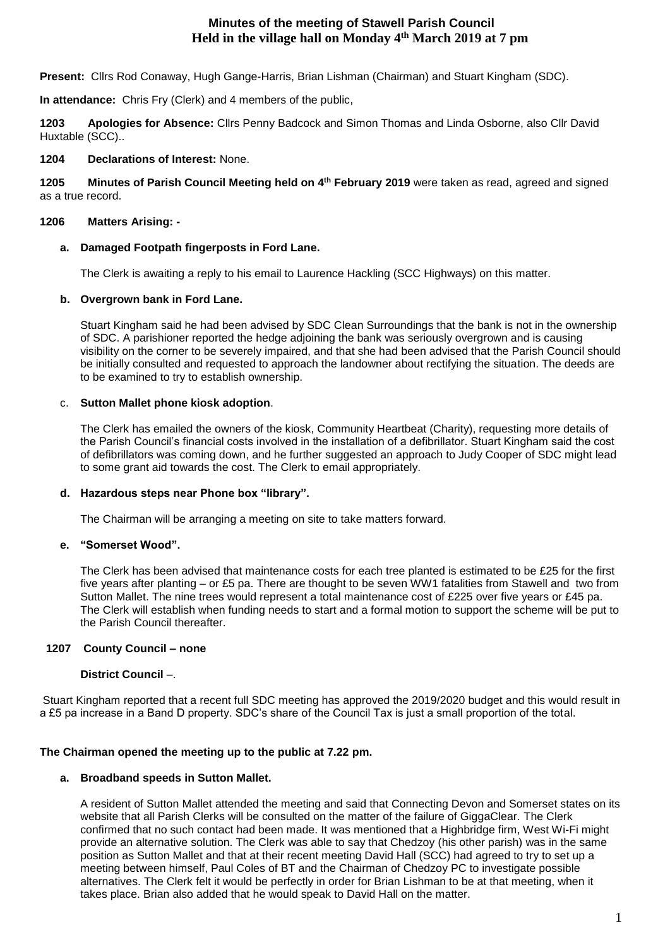## **Minutes of the meeting of Stawell Parish Council Held in the village hall on Monday 4th March 2019 at 7 pm**

**Present:** Cllrs Rod Conaway, Hugh Gange-Harris, Brian Lishman (Chairman) and Stuart Kingham (SDC).

**In attendance:** Chris Fry (Clerk) and 4 members of the public,

**1203 Apologies for Absence:** Cllrs Penny Badcock and Simon Thomas and Linda Osborne, also Cllr David Huxtable (SCC)..

## **1204 Declarations of Interest:** None.

**1205 Minutes of Parish Council Meeting held on 4 th February 2019** were taken as read, agreed and signed as a true record.

## **1206 Matters Arising: -**

## **a. Damaged Footpath fingerposts in Ford Lane.**

The Clerk is awaiting a reply to his email to Laurence Hackling (SCC Highways) on this matter.

## **b. Overgrown bank in Ford Lane.**

Stuart Kingham said he had been advised by SDC Clean Surroundings that the bank is not in the ownership of SDC. A parishioner reported the hedge adjoining the bank was seriously overgrown and is causing visibility on the corner to be severely impaired, and that she had been advised that the Parish Council should be initially consulted and requested to approach the landowner about rectifying the situation. The deeds are to be examined to try to establish ownership.

## c. **Sutton Mallet phone kiosk adoption**.

The Clerk has emailed the owners of the kiosk, Community Heartbeat (Charity), requesting more details of the Parish Council's financial costs involved in the installation of a defibrillator. Stuart Kingham said the cost of defibrillators was coming down, and he further suggested an approach to Judy Cooper of SDC might lead to some grant aid towards the cost. The Clerk to email appropriately.

### **d. Hazardous steps near Phone box "library".**

The Chairman will be arranging a meeting on site to take matters forward.

### **e. "Somerset Wood".**

The Clerk has been advised that maintenance costs for each tree planted is estimated to be £25 for the first five years after planting – or £5 pa. There are thought to be seven WW1 fatalities from Stawell and two from Sutton Mallet. The nine trees would represent a total maintenance cost of £225 over five years or £45 pa. The Clerk will establish when funding needs to start and a formal motion to support the scheme will be put to the Parish Council thereafter.

### **1207 County Council – none**

## **District Council** –.

Stuart Kingham reported that a recent full SDC meeting has approved the 2019/2020 budget and this would result in a £5 pa increase in a Band D property. SDC's share of the Council Tax is just a small proportion of the total.

### **The Chairman opened the meeting up to the public at 7.22 pm.**

### **a. Broadband speeds in Sutton Mallet.**

A resident of Sutton Mallet attended the meeting and said that Connecting Devon and Somerset states on its website that all Parish Clerks will be consulted on the matter of the failure of GiggaClear. The Clerk confirmed that no such contact had been made. It was mentioned that a Highbridge firm, West Wi-Fi might provide an alternative solution. The Clerk was able to say that Chedzoy (his other parish) was in the same position as Sutton Mallet and that at their recent meeting David Hall (SCC) had agreed to try to set up a meeting between himself, Paul Coles of BT and the Chairman of Chedzoy PC to investigate possible alternatives. The Clerk felt it would be perfectly in order for Brian Lishman to be at that meeting, when it takes place. Brian also added that he would speak to David Hall on the matter.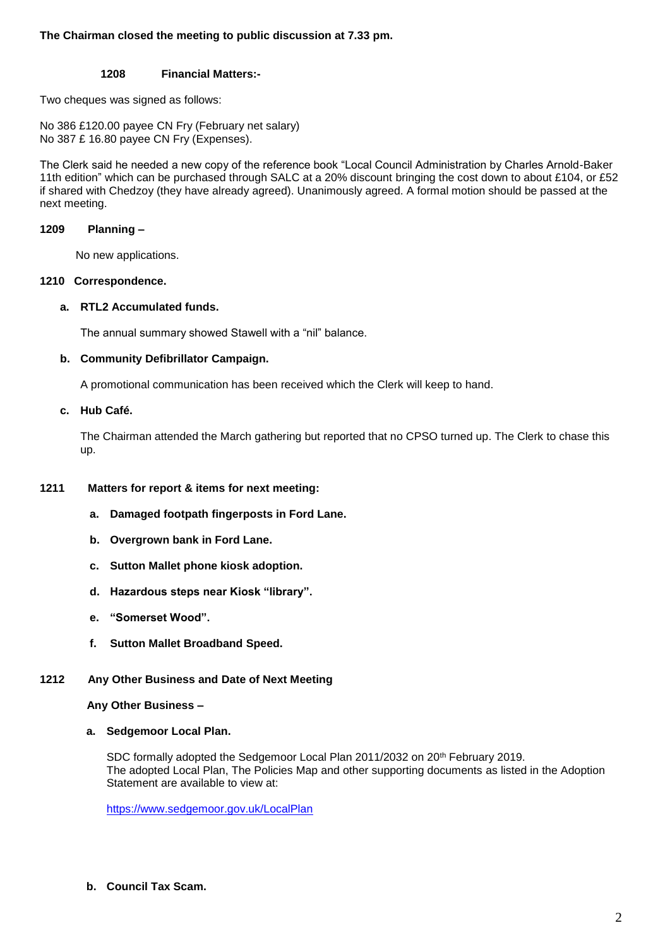## **The Chairman closed the meeting to public discussion at 7.33 pm.**

## **1208 Financial Matters:-**

Two cheques was signed as follows:

No 386 £120.00 payee CN Fry (February net salary) No 387 £ 16.80 payee CN Fry (Expenses).

The Clerk said he needed a new copy of the reference book "Local Council Administration by Charles Arnold-Baker 11th edition" which can be purchased through SALC at a 20% discount bringing the cost down to about £104, or £52 if shared with Chedzoy (they have already agreed). Unanimously agreed. A formal motion should be passed at the next meeting.

## **1209 Planning –**

No new applications.

### **1210 Correspondence.**

### **a. RTL2 Accumulated funds.**

The annual summary showed Stawell with a "nil" balance.

## **b. Community Defibrillator Campaign.**

A promotional communication has been received which the Clerk will keep to hand.

## **c. Hub Café.**

The Chairman attended the March gathering but reported that no CPSO turned up. The Clerk to chase this up.

## **1211 Matters for report & items for next meeting:**

- **a. Damaged footpath fingerposts in Ford Lane.**
- **b. Overgrown bank in Ford Lane.**
- **c. Sutton Mallet phone kiosk adoption.**
- **d. Hazardous steps near Kiosk "library".**
- **e. "Somerset Wood".**
- **f. Sutton Mallet Broadband Speed.**

# **1212 Any Other Business and Date of Next Meeting**

 **Any Other Business –**

**a. Sedgemoor Local Plan.**

SDC formally adopted the Sedgemoor Local Plan 2011/2032 on 20<sup>th</sup> February 2019. The adopted Local Plan, The Policies Map and other supporting documents as listed in the Adoption Statement are available to view at:

<https://www.sedgemoor.gov.uk/LocalPlan>

**b. Council Tax Scam.**